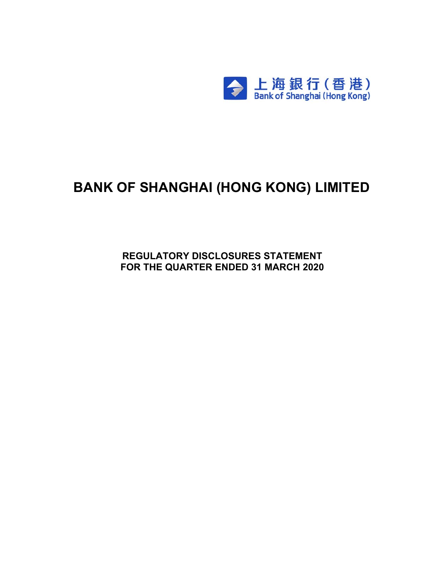

# **BANK OF SHANGHAI (HONG KONG) LIMITED**

**REGULATORY DISCLOSURES STATEMENT FOR THE QUARTER ENDED 31 MARCH 2020**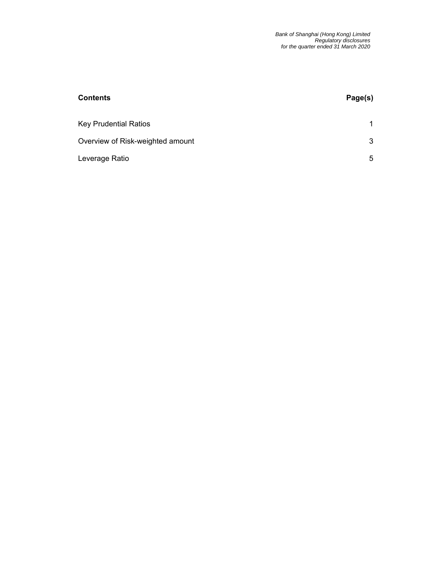| <b>Contents</b>                  | Page(s) |
|----------------------------------|---------|
| <b>Key Prudential Ratios</b>     |         |
| Overview of Risk-weighted amount | 3       |
| Leverage Ratio                   | 5       |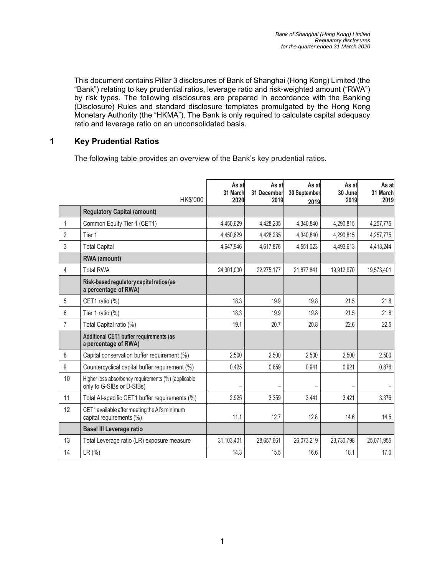This document contains Pillar 3 disclosures of Bank of Shanghai (Hong Kong) Limited (the "Bank") relating to key prudential ratios, leverage ratio and risk-weighted amount ("RWA") by risk types. The following disclosures are prepared in accordance with the Banking (Disclosure) Rules and standard disclosure templates promulgated by the Hong Kong Monetary Authority (the "HKMA"). The Bank is only required to calculate capital adequacy ratio and leverage ratio on an unconsolidated basis.

#### **1 Key Prudential Ratios**

The following table provides an overview of the Bank's key prudential ratios.

|                  | HK\$'000                                                                         | As at<br>31 March<br>2020 | As at<br>31 December<br>2019 | As at<br>30 September<br>2019 | As at<br>30 June<br>2019 | As at<br>31 March<br>2019 |
|------------------|----------------------------------------------------------------------------------|---------------------------|------------------------------|-------------------------------|--------------------------|---------------------------|
|                  | <b>Regulatory Capital (amount)</b>                                               |                           |                              |                               |                          |                           |
| $\mathbf{1}$     | Common Equity Tier 1 (CET1)                                                      | 4,450,629                 | 4,428,235                    | 4,340,840                     | 4,290,815                | 4,257,775                 |
| 2                | Tier 1                                                                           | 4,450,629                 | 4,428,235                    | 4,340,840                     | 4,290,815                | 4,257,775                 |
| 3                | <b>Total Capital</b>                                                             | 4,647,946                 | 4,617,876                    | 4,551,023                     | 4,493,613                | 4,413,244                 |
|                  | <b>RWA</b> (amount)                                                              |                           |                              |                               |                          |                           |
| 4                | <b>Total RWA</b>                                                                 | 24,301,000                | 22,275,177                   | 21,877,841                    | 19,912,970               | 19,573,401                |
|                  | Risk-based regulatory capital ratios (as<br>a percentage of RWA)                 |                           |                              |                               |                          |                           |
| 5                | CET1 ratio (%)                                                                   | 18.3                      | 19.9                         | 19.8                          | 21.5                     | 21.8                      |
| 6                | Tier 1 ratio $(\%)$                                                              | 18.3                      | 19.9                         | 19.8                          | 21.5                     | 21.8                      |
| $\overline{7}$   | Total Capital ratio (%)                                                          | 19.1                      | 20.7                         | 20.8                          | 22.6                     | 22.5                      |
|                  | Additional CET1 buffer requirements (as<br>a percentage of RWA)                  |                           |                              |                               |                          |                           |
| 8                | Capital conservation buffer requirement (%)                                      | 2.500                     | 2.500                        | 2.500                         | 2.500                    | 2.500                     |
| $\boldsymbol{9}$ | Countercyclical capital buffer requirement (%)                                   | 0.425                     | 0.859                        | 0.941                         | 0.921                    | 0.876                     |
| 10               | Higher loss absorbency requirements (%) (applicable<br>only to G-SIBs or D-SIBs) |                           |                              |                               |                          |                           |
| 11               | Total Al-specific CET1 buffer requirements (%)                                   | 2.925                     | 3.359                        | 3.441                         | 3.421                    | 3.376                     |
| 12               | CET1 available after meeting the AI's minimum<br>capital requirements (%)        | 11.1                      | 12.7                         | 12.8                          | 14.6                     | 14.5                      |
|                  | <b>Basel III Leverage ratio</b>                                                  |                           |                              |                               |                          |                           |
| 13               | Total Leverage ratio (LR) exposure measure                                       | 31,103,401                | 28,657,661                   | 26,073,219                    | 23,730,798               | 25,071,955                |
| 14               | LR (%)                                                                           | 14.3                      | 15.5                         | 16.6                          | 18.1                     | 17.0                      |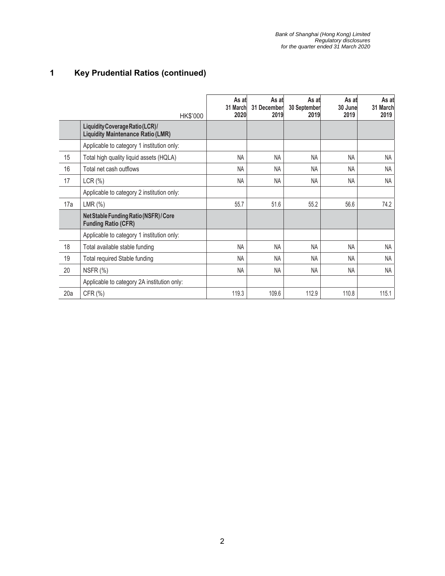## **1 Key Prudential Ratios (continued)**

|     | HK\$'000                                                                    | As at<br>31 March<br>2020 | As at<br>31 December<br>2019 | As at<br>30 September<br>2019 | As at<br>30 June<br>2019 | As at<br>31 March<br>2019 |
|-----|-----------------------------------------------------------------------------|---------------------------|------------------------------|-------------------------------|--------------------------|---------------------------|
|     | Liquidity Coverage Ratio (LCR)/<br><b>Liquidity Maintenance Ratio (LMR)</b> |                           |                              |                               |                          |                           |
|     | Applicable to category 1 institution only:                                  |                           |                              |                               |                          |                           |
| 15  | Total high quality liquid assets (HQLA)                                     | <b>NA</b>                 | <b>NA</b>                    | <b>NA</b>                     | <b>NA</b>                | NA                        |
| 16  | Total net cash outflows                                                     | <b>NA</b>                 | <b>NA</b>                    | <b>NA</b>                     | NA                       | NA                        |
| 17  | LCR(%)                                                                      | <b>NA</b>                 | NA                           | <b>NA</b>                     | <b>NA</b>                | <b>NA</b>                 |
|     | Applicable to category 2 institution only:                                  |                           |                              |                               |                          |                           |
| 17a | LMR(%)                                                                      | 55.7                      | 51.6                         | 55.2                          | 56.6                     | 74.2                      |
|     | Net Stable Funding Ratio (NSFR) / Core<br><b>Funding Ratio (CFR)</b>        |                           |                              |                               |                          |                           |
|     | Applicable to category 1 institution only:                                  |                           |                              |                               |                          |                           |
| 18  | Total available stable funding                                              | <b>NA</b>                 | <b>NA</b>                    | NA                            | <b>NA</b>                | <b>NA</b>                 |
| 19  | Total required Stable funding                                               | <b>NA</b>                 | <b>NA</b>                    | <b>NA</b>                     | <b>NA</b>                | <b>NA</b>                 |
| 20  | NSFR (%)                                                                    | <b>NA</b>                 | <b>NA</b>                    | <b>NA</b>                     | <b>NA</b>                | <b>NA</b>                 |
|     | Applicable to category 2A institution only:                                 |                           |                              |                               |                          |                           |
| 20a | CFR (%)                                                                     | 119.3                     | 109.6                        | 112.9                         | 110.8                    | 115.1                     |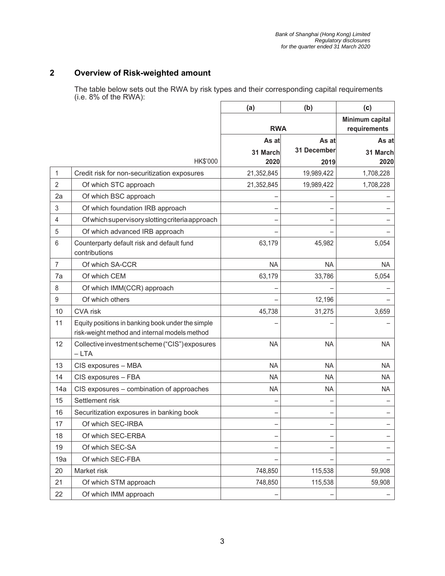#### **2 Overview of Risk-weighted amount**

The table below sets out the RWA by risk types and their corresponding capital requirements (i.e. 8% of the RWA):

|                |                                                                                                    | (a)        | (b)                             | (c)       |
|----------------|----------------------------------------------------------------------------------------------------|------------|---------------------------------|-----------|
|                |                                                                                                    | <b>RWA</b> | Minimum capital<br>requirements |           |
|                |                                                                                                    | As at      | As at                           | As at     |
|                |                                                                                                    | 31 March   | 31 December                     | 31 March  |
|                | HK\$'000                                                                                           | 2020       | 2019                            | 2020      |
| 1              | Credit risk for non-securitization exposures                                                       | 21,352,845 | 19,989,422                      | 1,708,228 |
| $\overline{2}$ | Of which STC approach                                                                              | 21,352,845 | 19,989,422                      | 1,708,228 |
| 2a             | Of which BSC approach                                                                              |            |                                 |           |
| 3              | Of which foundation IRB approach                                                                   |            |                                 |           |
| 4              | Of which supervisory slotting criteria approach                                                    |            |                                 |           |
| 5              | Of which advanced IRB approach                                                                     |            |                                 |           |
| 6              | Counterparty default risk and default fund<br>contributions                                        | 63,179     | 45,982                          | 5,054     |
| $\overline{7}$ | Of which SA-CCR                                                                                    | <b>NA</b>  | <b>NA</b>                       | <b>NA</b> |
| 7a             | Of which CEM                                                                                       | 63,179     | 33,786                          | 5,054     |
| 8              | Of which IMM(CCR) approach                                                                         |            |                                 |           |
| $9\,$          | Of which others                                                                                    |            | 12,196                          |           |
| 10             | CVA risk                                                                                           | 45,738     | 31,275                          | 3,659     |
| 11             | Equity positions in banking book under the simple<br>risk-weight method and internal models method |            |                                 |           |
| 12             | Collective investment scheme ("CIS") exposures<br>$-LTA$                                           | <b>NA</b>  | <b>NA</b>                       | <b>NA</b> |
| 13             | CIS exposures - MBA                                                                                | <b>NA</b>  | <b>NA</b>                       | <b>NA</b> |
| 14             | CIS exposures - FBA                                                                                | ΝA         | <b>NA</b>                       | <b>NA</b> |
| 14a            | CIS exposures - combination of approaches                                                          | <b>NA</b>  | <b>NA</b>                       | <b>NA</b> |
| 15             | Settlement risk                                                                                    |            |                                 |           |
| 16             | Securitization exposures in banking book                                                           |            |                                 |           |
| 17             | Of which SEC-IRBA                                                                                  |            |                                 |           |
| 18             | Of which SEC-ERBA                                                                                  |            |                                 |           |
| 19             | Of which SEC-SA                                                                                    |            |                                 |           |
| 19a            | Of which SEC-FBA                                                                                   |            |                                 |           |
| 20             | Market risk                                                                                        | 748,850    | 115,538                         | 59,908    |
| 21             | Of which STM approach                                                                              | 748,850    | 115,538                         | 59,908    |
| 22             | Of which IMM approach                                                                              |            |                                 |           |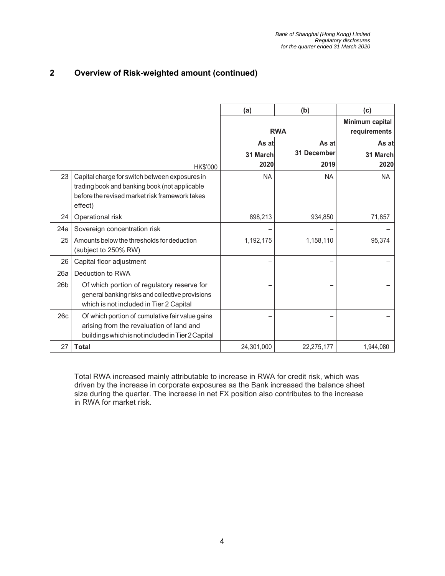#### **2 Overview of Risk-weighted amount (continued)**

|                 |                                                                                                                                                              | (a)        | (b)                             | (c)       |
|-----------------|--------------------------------------------------------------------------------------------------------------------------------------------------------------|------------|---------------------------------|-----------|
|                 |                                                                                                                                                              | <b>RWA</b> | Minimum capital<br>requirements |           |
|                 |                                                                                                                                                              | As at      | As at                           | As at     |
|                 |                                                                                                                                                              | 31 March   | <b>31 December</b>              | 31 March  |
|                 | HK\$'000                                                                                                                                                     | 2020       | 2019                            | 2020      |
| 23              | Capital charge for switch between exposures in<br>trading book and banking book (not applicable<br>before the revised market risk framework takes<br>effect) | <b>NA</b>  | <b>NA</b>                       | <b>NA</b> |
| 24              | Operational risk                                                                                                                                             | 898,213    | 934,850                         | 71,857    |
| 24a             | Sovereign concentration risk                                                                                                                                 |            |                                 |           |
| 25              | Amounts below the thresholds for deduction<br>(subject to 250% RW)                                                                                           | 1,192,175  | 1,158,110                       | 95,374    |
| 26              | Capital floor adjustment                                                                                                                                     |            |                                 |           |
| 26a             | Deduction to RWA                                                                                                                                             |            |                                 |           |
| 26 <sub>b</sub> | Of which portion of regulatory reserve for<br>general banking risks and collective provisions<br>which is not included in Tier 2 Capital                     |            |                                 |           |
| 26c             | Of which portion of cumulative fair value gains<br>arising from the revaluation of land and<br>buildings which is not included in Tier 2 Capital             |            |                                 |           |
| 27              | <b>Total</b>                                                                                                                                                 | 24,301,000 | 22,275,177                      | 1,944,080 |

Total RWA increased mainly attributable to increase in RWA for credit risk, which was driven by the increase in corporate exposures as the Bank increased the balance sheet size during the quarter. The increase in net FX position also contributes to the increase in RWA for market risk.